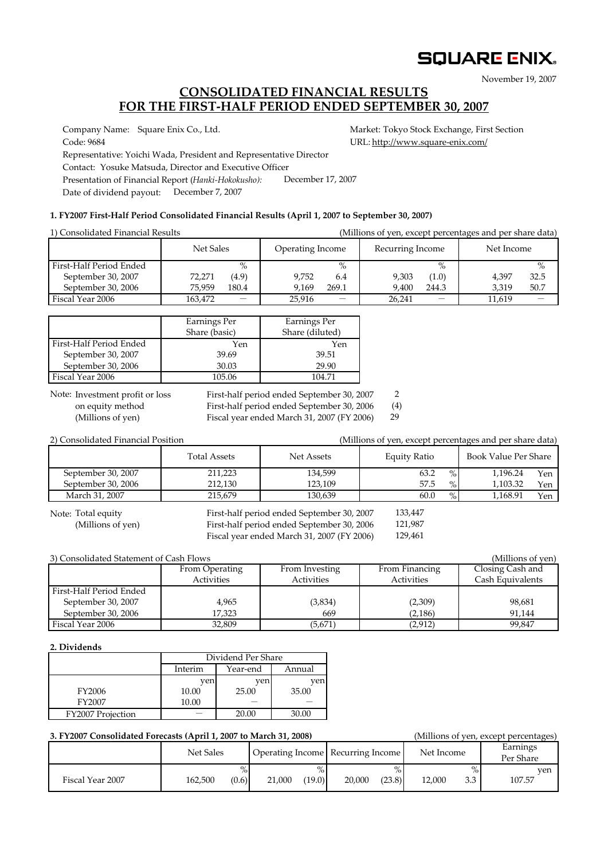# **SQUARE ENIX.**

November 19, 2007

### **CONSOLIDATED FINANCIAL RESULTS FOR THE FIRST-HALF PERIOD ENDED SEPTEMBER 30, 2007**

Company Name: Square Enix Co., Ltd. Market: Tokyo Stock Exchange, First Section

Code: 9684 URL: http://www.square-enix.com/ Representative: Yoichi Wada, President and Representative Director Contact: Yosuke Matsuda, Director and Executive Officer Presentation of Financial Report (*Hanki-Hokokusho):* Date of dividend payout: December 7, 2007 December 17, 2007

### **1. FY2007 First-Half Period Consolidated Financial Results (April 1, 2007 to September 30, 2007)**

| 1) Consolidated Financial Results | (Millions of yen, except percentages and per share data) |                          |                  |       |                  |                          |            |      |
|-----------------------------------|----------------------------------------------------------|--------------------------|------------------|-------|------------------|--------------------------|------------|------|
|                                   | Net Sales                                                |                          | Operating Income |       | Recurring Income |                          | Net Income |      |
| First-Half Period Ended           |                                                          | $\%$                     |                  | $\%$  |                  | $\%$                     |            | $\%$ |
| September 30, 2007                | 72,271                                                   | (4.9)                    | 9.752            | 6.4   | 9.303            | (1.0)                    | 4.397      | 32.5 |
| September 30, 2006                | 75.959                                                   | 180.4                    | 9.169            | 269.1 | 9.400            | 244.3                    | 3.319      | 50.7 |
| Fiscal Year 2006                  | 163,472                                                  | $\overline{\phantom{0}}$ | 25,916           |       | 26.241           | $\overline{\phantom{0}}$ | 11,619     |      |

|                         | Earnings Per<br>Share (basic) | Earnings Per<br>Share (diluted) |
|-------------------------|-------------------------------|---------------------------------|
| First-Half Period Ended | Yen                           | Yen                             |
| September 30, 2007      | 39.69                         | 39.51                           |
| September 30, 2006      | 30.03                         | 29.90                           |
| Fiscal Year 2006        | 105.06                        | 104.71                          |

Note: Investment profit or loss

First-half period ended September 30, 2007 2

on equity method First-half period ended September 30, 2006 (4) 29

(Millions of yen) Fiscal year ended March 31, 2007 (FY 2006)

| 2) Consolidated Financial Position |                                   |         | (Millions of yen, except percentages and per share data) |                      |     |  |  |
|------------------------------------|-----------------------------------|---------|----------------------------------------------------------|----------------------|-----|--|--|
|                                    | <b>Total Assets</b><br>Net Assets |         | Equity Ratio                                             | Book Value Per Share |     |  |  |
| September 30, 2007                 | 211,223                           | 134,599 | $\%$<br>63.2                                             | 1.196.24             | Yen |  |  |
| September 30, 2006                 | 212.130                           | 123.109 | 57.5<br>$\%$                                             | 1.103.32             | Yen |  |  |
| March 31, 2007                     | 215.679                           | 130,639 | $\%$<br>60.0                                             | 1.168.91             | Yen |  |  |

Note: Total equity

First-half period ended September 30, 2007 (Millions of yen) First-half period ended September 30, 2006 Fiscal year ended March 31, 2007 (FY 2006)

133,447 121,987 129,461

| 3) Consolidated Statement of Cash Flows |                   |                |                | (Millions of yen) |
|-----------------------------------------|-------------------|----------------|----------------|-------------------|
|                                         | From Operating    | From Investing | From Financing | Closing Cash and  |
|                                         | <b>Activities</b> | Activities     | Activities     | Cash Equivalents  |
| First-Half Period Ended                 |                   |                |                |                   |
| September 30, 2007                      | 4.965             | (3,834)        | (2,309)        | 98,681            |
| September 30, 2006                      | 17.323            | 669            | (2, 186)       | 91.144            |
| Fiscal Year 2006                        | 32,809            | (5,671)        | (2,912)        | 99.847            |

### **2. Dividends**

Fiscal Year 2007

|                   | Dividend Per Share |                    |       |  |  |
|-------------------|--------------------|--------------------|-------|--|--|
|                   | Interim            | Year-end<br>Annual |       |  |  |
|                   | ven                | ven                | ven   |  |  |
| <b>FY2006</b>     | 10.00              | 25.00              | 35.00 |  |  |
| FY2007            | 10.00              |                    |       |  |  |
| FY2007 Projection |                    | 20.00              | 30.00 |  |  |

162,500

| 3. FY2007 Consolidated Forecasts (April 1, 2007 to March 31, 2008) |           | (Millions of yen, except percentages) |                                   |            |                       |
|--------------------------------------------------------------------|-----------|---------------------------------------|-----------------------------------|------------|-----------------------|
|                                                                    | Net Sales |                                       | Operating Income Recurring Income | Net Income | Earnings<br>Per Share |
|                                                                    | $\%$      | $\%$                                  | $\%$ .                            | $\%$       | ven                   |

21,000

(0.6)

(19.0)

20,000 (23.8)

12,000 3.3 107.57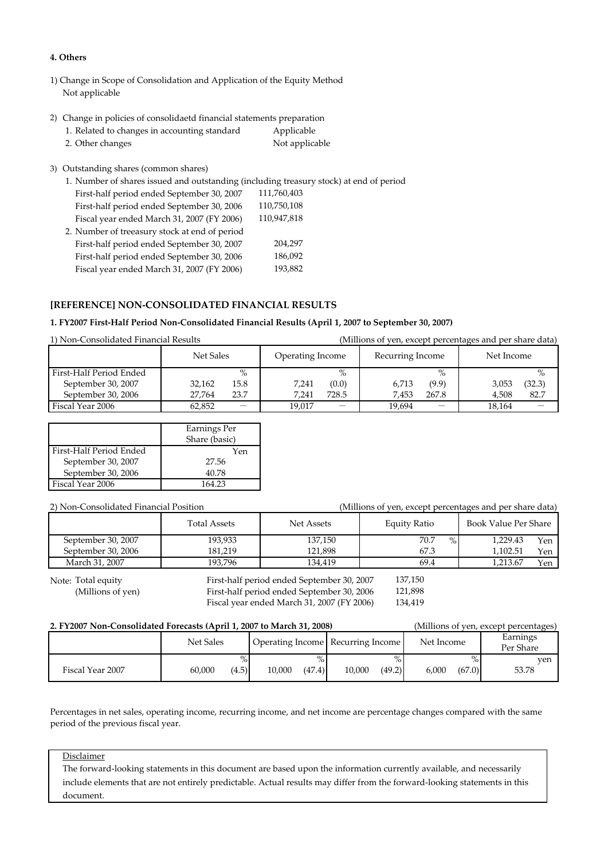### **4. Others**

- 1) Change in Scope of Consolidation and Application of the Equity Method Not applicable
- 2) Change in policies of consolidaetd financial statements preparation

| 1. Related to changes in accounting standard | Applicable     |
|----------------------------------------------|----------------|
| 2. Other changes                             | Not applicable |

3) Outstanding shares (common shares)

1. Number of shares issued and outstanding (including treasury stock) at end of period First-half period ended September 30, 2007 First-half period ended September 30, 2006 Fiscal year ended March 31, 2007 (FY 2006) 2. Number of treeasury stock at end of period First-half period ended September 30, 2007 First-half period ended September 30, 2006 Fiscal year ended March 31, 2007 (FY 2006) 204,297 186,092 110,947,818 110,750,108 111,760,403 193,882

### **[REFERENCE] NON-CONSOLIDATED FINANCIAL RESULTS**

### **1. FY2007 First-Half Period Non-Consolidated Financial Results (April 1, 2007 to September 30, 2007)**

| 1) Non-Consolidated Financial Results |  |  |
|---------------------------------------|--|--|
|                                       |  |  |

(Millions of yen, except percentages and per share data)

|                         | Net Sales |                          | Operating Income |       | Recurring Income |                          | Net Income |        |
|-------------------------|-----------|--------------------------|------------------|-------|------------------|--------------------------|------------|--------|
| First-Half Period Ended |           | $\%$                     |                  | $\%$  |                  | $\%$                     |            | $\%$   |
| September 30, 2007      | 32.162    | 15.8                     | 7,241            | (0.0) | 6.713            | (9.9)                    | 3.053      | (32.3) |
| September 30, 2006      | 27.764    | 23.7                     | 7.241            | 728.5 | 7.453            | 267.8                    | 4.508      | 82.7   |
| Fiscal Year 2006        | 62.852    | $\overline{\phantom{m}}$ | 19.017           |       | 19.694           | $\overline{\phantom{0}}$ | 18.164     |        |

|                         | Earnings Per  |
|-------------------------|---------------|
|                         | Share (basic) |
| First-Half Period Ended | Yen           |
| September 30, 2007      | 27.56         |
| September 30, 2006      | 40.78         |
| Fiscal Year 2006        | 164 23        |

| 2) Non-Consolidated Financial Position |                     |                                            | (Millions of yen, except percentages and per share data) |                         |  |  |  |  |
|----------------------------------------|---------------------|--------------------------------------------|----------------------------------------------------------|-------------------------|--|--|--|--|
|                                        | <b>Total Assets</b> | Net Assets                                 |                                                          | Book Value Per Share    |  |  |  |  |
| September 30, 2007                     | 193,933             | 137.150                                    | 70.7                                                     | $\%$<br>1.229.43<br>Yen |  |  |  |  |
| September 30, 2006                     | 181.219             | 121.898                                    | 67.3                                                     | 1.102.51<br>Yen         |  |  |  |  |
| March 31, 2007                         | 193.796             | 134,419                                    | 69.4                                                     | 1.213.67<br>Yen         |  |  |  |  |
| Note: Total equity                     |                     | First-half period ended September 30, 2007 | 137,150                                                  |                         |  |  |  |  |

Note: Total equity

(Millions of yen) First-half period ended September 30, 2006 Fiscal year ended March 31, 2007 (FY 2006)

121,898 134,419

| 2. FY2007 Non-Consolidated Forecasts (April 1, 2007 to March 31, 2008) |           |       |        |        |                                   |        |            |        | (Millions of yen, except percentages) |
|------------------------------------------------------------------------|-----------|-------|--------|--------|-----------------------------------|--------|------------|--------|---------------------------------------|
|                                                                        | Net Sales |       |        |        | Operating Income Recurring Income |        | Net Income |        | Earnings<br>Per Share                 |
|                                                                        |           | $\%$  |        |        |                                   |        |            |        | ven                                   |
| Fiscal Year 2007                                                       | 60.000    | (4.5) | 10,000 | (47.4) | 10.000                            | (49.2) | 6.000      | (67.0) | 53.78                                 |

Percentages in net sales, operating income, recurring income, and net income are percentage changes compared with the same period of the previous fiscal year.

### Disclaimer

The forward-looking statements in this document are based upon the information currently available, and necessarily include elements that are not entirely predictable. Actual results may differ from the forward-looking statements in this document.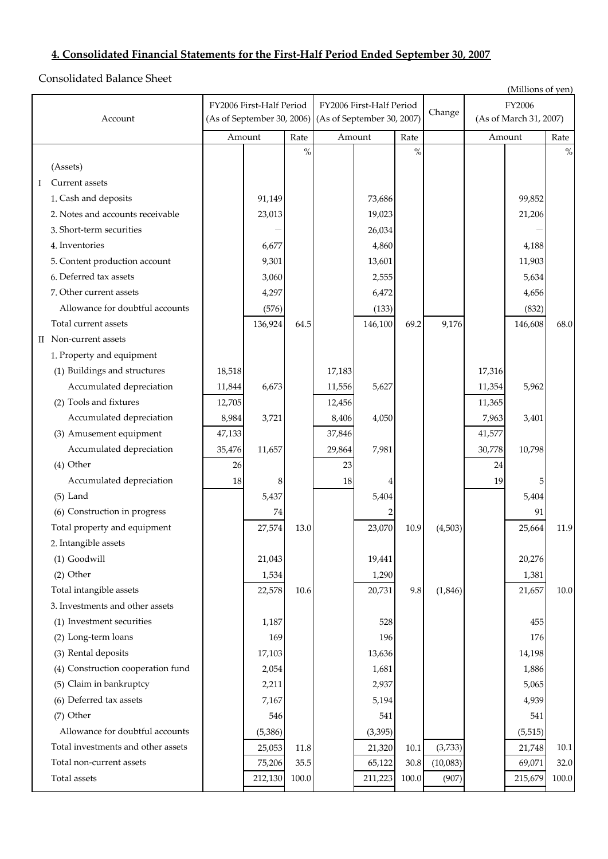# **4. Consolidated Financial Statements for the First-Half Period Ended September 30, 2007**

Consolidated Balance Sheet

|   | (Millions of yen)                  |        |                            |       |                            |          |          |          |        |                        |       |  |
|---|------------------------------------|--------|----------------------------|-------|----------------------------|----------|----------|----------|--------|------------------------|-------|--|
|   |                                    |        | FY2006 First-Half Period   |       | FY2006 First-Half Period   |          |          |          |        | FY2006                 |       |  |
|   | Account                            |        | (As of September 30, 2006) |       | (As of September 30, 2007) |          |          | Change   |        | (As of March 31, 2007) |       |  |
|   |                                    |        | Amount                     | Rate  |                            | Amount   | Rate     |          |        | Amount                 | Rate  |  |
|   |                                    |        |                            | $\%$  |                            |          | $\%$     |          |        |                        | $\%$  |  |
|   | (Assets)                           |        |                            |       |                            |          |          |          |        |                        |       |  |
| Ι | Current assets                     |        |                            |       |                            |          |          |          |        |                        |       |  |
|   | 1. Cash and deposits               |        | 91,149                     |       |                            | 73,686   |          |          |        | 99,852                 |       |  |
|   | 2. Notes and accounts receivable   |        | 23,013                     |       |                            | 19,023   |          |          |        | 21,206                 |       |  |
|   | 3. Short-term securities           |        |                            |       |                            | 26,034   |          |          |        |                        |       |  |
|   | 4. Inventories                     |        | 6,677                      |       |                            | 4,860    |          |          |        | 4,188                  |       |  |
|   | 5. Content production account      |        | 9,301                      |       |                            | 13,601   |          |          |        | 11,903                 |       |  |
|   | 6. Deferred tax assets             |        | 3,060                      |       |                            | 2,555    |          |          |        | 5,634                  |       |  |
|   | 7. Other current assets            |        | 4,297                      |       |                            | 6,472    |          |          |        | 4,656                  |       |  |
|   | Allowance for doubtful accounts    |        | (576)                      |       |                            | (133)    |          |          |        | (832)                  |       |  |
|   | Total current assets               |        | 136,924                    | 64.5  |                            | 146,100  | 69.2     | 9,176    |        | 146,608                | 68.0  |  |
|   | II Non-current assets              |        |                            |       |                            |          |          |          |        |                        |       |  |
|   | 1. Property and equipment          |        |                            |       |                            |          |          |          |        |                        |       |  |
|   | (1) Buildings and structures       | 18,518 |                            |       | 17,183                     |          |          |          | 17,316 |                        |       |  |
|   | Accumulated depreciation           | 11,844 | 6,673                      |       | 11,556                     | 5,627    |          |          | 11,354 | 5,962                  |       |  |
|   | (2) Tools and fixtures             | 12,705 |                            |       | 12,456                     |          |          |          | 11,365 |                        |       |  |
|   | Accumulated depreciation           | 8,984  | 3,721                      |       | 8,406                      | 4,050    |          |          | 7,963  | 3,401                  |       |  |
|   | (3) Amusement equipment            | 47,133 |                            |       | 37,846                     |          |          |          | 41,577 |                        |       |  |
|   | Accumulated depreciation           | 35,476 | 11,657                     |       | 29,864                     | 7,981    |          |          | 30,778 | 10,798                 |       |  |
|   | (4) Other                          | 26     |                            |       | 23                         |          |          |          | 24     |                        |       |  |
|   | Accumulated depreciation           | 18     | 8                          |       | 18                         |          |          |          | 19     | 5                      |       |  |
|   | $(5)$ Land                         |        | 5,437                      |       |                            | 5,404    |          |          |        | 5,404                  |       |  |
|   | (6) Construction in progress       |        | 74                         |       |                            |          |          |          |        | 91                     |       |  |
|   | Total property and equipment       |        | 27,574                     | 13.0  |                            | 23,070   | 10.9     | (4,503)  |        | 25,664                 | 11.9  |  |
|   | 2. Intangible assets               |        |                            |       |                            |          |          |          |        |                        |       |  |
|   | (1) Goodwill                       |        | 21,043                     |       |                            | 19,441   |          |          |        | 20,276                 |       |  |
|   | $(2)$ Other                        |        | 1,534                      |       |                            | 1,290    |          |          |        | 1,381                  |       |  |
|   | Total intangible assets            |        | 22,578                     | 10.6  |                            | 20,731   | 9.8      | (1, 846) |        | 21,657                 | 10.0  |  |
|   | 3. Investments and other assets    |        |                            |       |                            |          |          |          |        |                        |       |  |
|   | (1) Investment securities          |        | 1,187                      |       |                            | 528      |          |          |        | 455                    |       |  |
|   | (2) Long-term loans                |        | 169                        |       |                            | 196      |          |          |        | 176                    |       |  |
|   | (3) Rental deposits                |        | 17,103                     |       |                            | 13,636   |          |          |        | 14,198                 |       |  |
|   | (4) Construction cooperation fund  |        | 2,054                      |       |                            | 1,681    |          |          |        | 1,886                  |       |  |
|   | (5) Claim in bankruptcy            |        | 2,211                      |       |                            | 2,937    |          |          |        | 5,065                  |       |  |
|   | (6) Deferred tax assets            |        | 7,167                      |       |                            | 5,194    |          |          |        | 4,939                  |       |  |
|   | (7) Other                          |        | 546                        |       |                            | 541      |          |          |        | 541                    |       |  |
|   | Allowance for doubtful accounts    |        | (5, 386)                   |       |                            | (3, 395) |          |          |        | (5, 515)               |       |  |
|   | Total investments and other assets |        | 25,053                     | 11.8  |                            | 21,320   | $10.1\,$ | (3,733)  |        | 21,748                 | 10.1  |  |
|   | Total non-current assets           |        | 75,206                     | 35.5  |                            | 65,122   | 30.8     | (10,083) |        | 69,071                 | 32.0  |  |
|   | Total assets                       |        | 212,130                    | 100.0 |                            | 211,223  | 100.0    | (907)    |        | 215,679                | 100.0 |  |
|   |                                    |        |                            |       |                            |          |          |          |        |                        |       |  |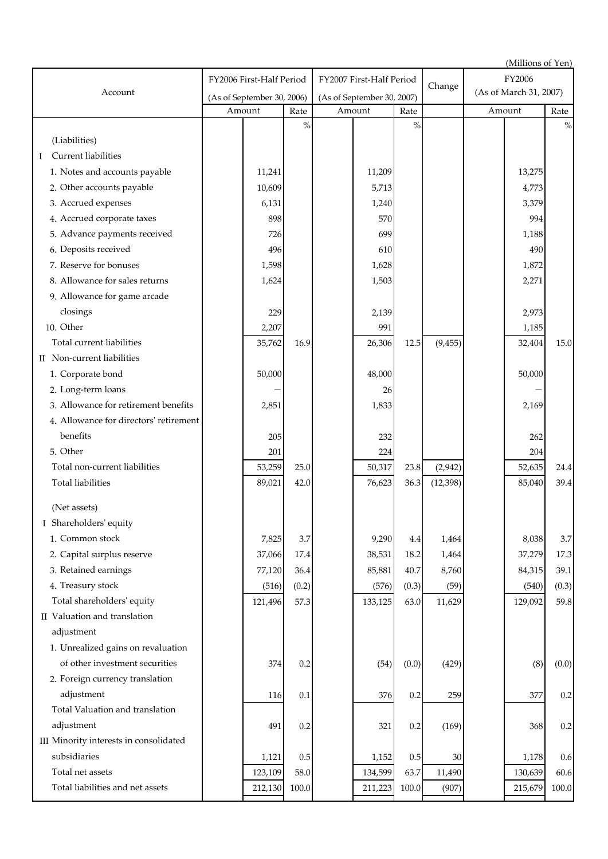| (Millions of Yen)                      |                            |         |         |                            |         |         |           |                        |         |          |
|----------------------------------------|----------------------------|---------|---------|----------------------------|---------|---------|-----------|------------------------|---------|----------|
|                                        | FY2006 First-Half Period   |         |         | FY2007 First-Half Period   |         |         | Change    | FY2006                 |         |          |
| Account                                | (As of September 30, 2006) |         |         | (As of September 30, 2007) |         |         |           | (As of March 31, 2007) |         |          |
|                                        |                            | Amount  | Rate    |                            | Amount  | Rate    |           |                        | Amount  | Rate     |
|                                        |                            |         | $\%$    |                            |         | $\%$    |           |                        |         | $\%$     |
| (Liabilities)                          |                            |         |         |                            |         |         |           |                        |         |          |
| Current liabilities<br>Ι               |                            |         |         |                            |         |         |           |                        |         |          |
| 1. Notes and accounts payable          |                            | 11,241  |         |                            | 11,209  |         |           |                        | 13,275  |          |
| 2. Other accounts payable              |                            | 10,609  |         |                            | 5,713   |         |           |                        | 4,773   |          |
| 3. Accrued expenses                    |                            | 6,131   |         |                            | 1,240   |         |           |                        | 3,379   |          |
| 4. Accrued corporate taxes             |                            | 898     |         |                            | 570     |         |           |                        | 994     |          |
| 5. Advance payments received           |                            | 726     |         |                            | 699     |         |           |                        | 1,188   |          |
| 6. Deposits received                   |                            | 496     |         |                            | 610     |         |           |                        | 490     |          |
| 7. Reserve for bonuses                 |                            | 1,598   |         |                            | 1,628   |         |           |                        | 1,872   |          |
| 8. Allowance for sales returns         |                            | 1,624   |         |                            | 1,503   |         |           |                        | 2,271   |          |
| 9. Allowance for game arcade           |                            |         |         |                            |         |         |           |                        |         |          |
| closings                               |                            | 229     |         |                            | 2,139   |         |           |                        | 2,973   |          |
| 10. Other                              |                            | 2,207   |         |                            | 991     |         |           |                        | 1,185   |          |
| Total current liabilities              |                            | 35,762  | 16.9    |                            | 26,306  | 12.5    | (9, 455)  |                        | 32,404  | 15.0     |
| II Non-current liabilities             |                            |         |         |                            |         |         |           |                        |         |          |
| 1. Corporate bond                      |                            | 50,000  |         |                            | 48,000  |         |           |                        | 50,000  |          |
| 2. Long-term loans                     |                            |         |         |                            | 26      |         |           |                        |         |          |
| 3. Allowance for retirement benefits   |                            | 2,851   |         |                            | 1,833   |         |           |                        | 2,169   |          |
| 4. Allowance for directors' retirement |                            |         |         |                            |         |         |           |                        |         |          |
| benefits                               |                            | 205     |         |                            | 232     |         |           |                        | 262     |          |
| 5. Other                               |                            | 201     |         |                            | 224     |         |           |                        | 204     |          |
| Total non-current liabilities          |                            | 53,259  | 25.0    |                            | 50,317  | 23.8    | (2,942)   |                        | 52,635  | 24.4     |
| Total liabilities                      |                            | 89,021  | 42.0    |                            | 76,623  | 36.3    | (12, 398) |                        | 85,040  | 39.4     |
| (Net assets)                           |                            |         |         |                            |         |         |           |                        |         |          |
| I Shareholders' equity                 |                            |         |         |                            |         |         |           |                        |         |          |
| 1. Common stock                        |                            | 7,825   | 3.7     |                            | 9,290   | 4.4     | 1,464     |                        | 8,038   | $3.7\,$  |
| 2. Capital surplus reserve             |                            | 37,066  | 17.4    |                            | 38,531  | 18.2    | 1,464     |                        | 37,279  | 17.3     |
| 3. Retained earnings                   |                            | 77,120  | 36.4    |                            | 85,881  | 40.7    | 8,760     |                        | 84,315  | 39.1     |
| 4. Treasury stock                      |                            | (516)   | (0.2)   |                            | (576)   | (0.3)   | (59)      |                        | (540)   | (0.3)    |
| Total shareholders' equity             |                            | 121,496 | 57.3    |                            | 133,125 | 63.0    | 11,629    |                        | 129,092 | 59.8     |
| II Valuation and translation           |                            |         |         |                            |         |         |           |                        |         |          |
| adjustment                             |                            |         |         |                            |         |         |           |                        |         |          |
| 1. Unrealized gains on revaluation     |                            |         |         |                            |         |         |           |                        |         |          |
| of other investment securities         |                            | 374     | 0.2     |                            | (54)    | (0.0)   | (429)     |                        | (8)     | (0.0)    |
| 2. Foreign currency translation        |                            |         |         |                            |         |         |           |                        |         |          |
| adjustment                             |                            | 116     | 0.1     |                            | 376     | 0.2     | 259       |                        | 377     | 0.2      |
| Total Valuation and translation        |                            |         |         |                            |         |         |           |                        |         |          |
| adjustment                             |                            | 491     | 0.2     |                            | 321     | 0.2     | (169)     |                        | 368     | $0.2\,$  |
| III Minority interests in consolidated |                            |         |         |                            |         |         |           |                        |         |          |
| subsidiaries                           |                            | 1,121   | $0.5\,$ |                            | 1,152   | $0.5\,$ | 30        |                        | 1,178   | 0.6      |
| Total net assets                       |                            | 123,109 | 58.0    |                            | 134,599 | 63.7    | 11,490    |                        | 130,639 | $60.6\,$ |
| Total liabilities and net assets       |                            | 212,130 | 100.0   |                            | 211,223 | 100.0   | (907)     |                        | 215,679 | 100.0    |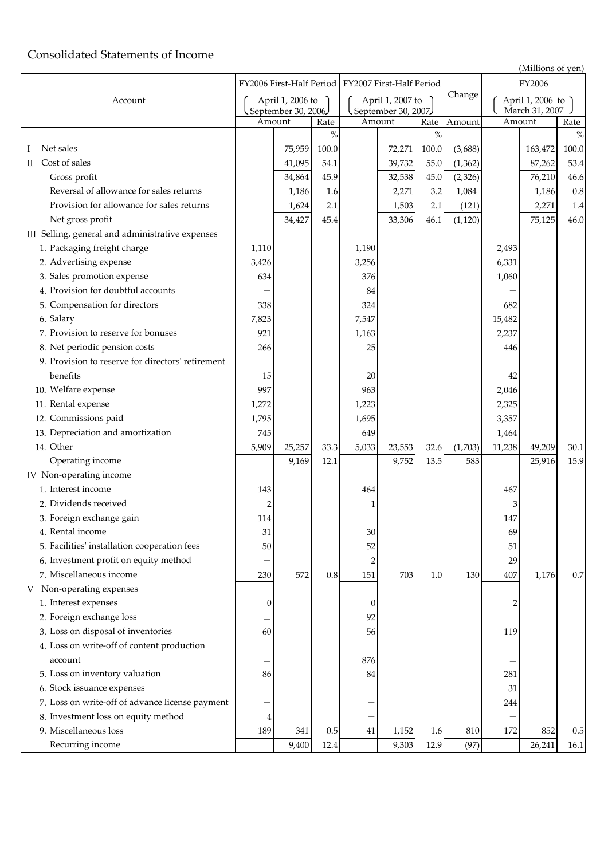## Consolidated Statements of Income

| (Millions of yen) |
|-------------------|
| FY2006            |

|                                                   |                |                              |         |                                         |                                                     |       |          | $($ iviniiotis of yeit $\prime$    |         |         |
|---------------------------------------------------|----------------|------------------------------|---------|-----------------------------------------|-----------------------------------------------------|-------|----------|------------------------------------|---------|---------|
|                                                   |                |                              |         |                                         | FY2006 First-Half Period   FY2007 First-Half Period |       |          | FY2006                             |         |         |
| Account                                           |                | April 1, 2006 to             |         | April 1, 2007 to<br>September 30, 2007, |                                                     |       | Change   | April 1, 2006 to<br>March 31, 2007 |         |         |
|                                                   |                | September 30, 2006<br>Amount | Rate    |                                         | Amount                                              | Rate  | Amount   |                                    | Amount  | Rate    |
|                                                   |                |                              | $\%$    |                                         |                                                     | $\%$  |          |                                    |         | $\%$    |
| Net sales<br>Ι                                    |                | 75,959                       | 100.0   |                                         | 72,271                                              | 100.0 | (3,688)  |                                    | 163,472 | 100.0   |
| Cost of sales<br>П                                |                | 41,095                       | 54.1    |                                         | 39,732                                              | 55.0  | (1, 362) |                                    | 87,262  | 53.4    |
| Gross profit                                      |                | 34,864                       | 45.9    |                                         | 32,538                                              | 45.0  | (2, 326) |                                    | 76,210  | 46.6    |
| Reversal of allowance for sales returns           |                | 1,186                        | 1.6     |                                         | 2,271                                               | 3.2   | 1,084    |                                    | 1,186   | $0.8\,$ |
| Provision for allowance for sales returns         |                | 1,624                        | 2.1     |                                         | 1,503                                               | 2.1   | (121)    |                                    | 2,271   | $1.4\,$ |
| Net gross profit                                  |                | 34,427                       | 45.4    |                                         | 33,306                                              | 46.1  | (1, 120) |                                    | 75,125  | 46.0    |
| III Selling, general and administrative expenses  |                |                              |         |                                         |                                                     |       |          |                                    |         |         |
| 1. Packaging freight charge                       | 1,110          |                              |         | 1,190                                   |                                                     |       |          | 2,493                              |         |         |
| 2. Advertising expense                            | 3,426          |                              |         | 3,256                                   |                                                     |       |          | 6,331                              |         |         |
| 3. Sales promotion expense                        | 634            |                              |         | 376                                     |                                                     |       |          | 1,060                              |         |         |
| 4. Provision for doubtful accounts                |                |                              |         | 84                                      |                                                     |       |          |                                    |         |         |
| 5. Compensation for directors                     | 338            |                              |         | 324                                     |                                                     |       |          | 682                                |         |         |
| 6. Salary                                         | 7,823          |                              |         | 7,547                                   |                                                     |       |          | 15,482                             |         |         |
| 7. Provision to reserve for bonuses               | 921            |                              |         | 1,163                                   |                                                     |       |          | 2,237                              |         |         |
| 8. Net periodic pension costs                     | 266            |                              |         | 25                                      |                                                     |       |          | 446                                |         |         |
| 9. Provision to reserve for directors' retirement |                |                              |         |                                         |                                                     |       |          |                                    |         |         |
| benefits                                          | 15             |                              |         | 20                                      |                                                     |       |          | 42                                 |         |         |
| 10. Welfare expense                               | 997            |                              |         | 963                                     |                                                     |       |          | 2,046                              |         |         |
| 11. Rental expense                                | 1,272          |                              |         | 1,223                                   |                                                     |       |          | 2,325                              |         |         |
| 12. Commissions paid                              | 1,795          |                              |         | 1,695                                   |                                                     |       |          | 3,357                              |         |         |
| 13. Depreciation and amortization                 | 745            |                              |         | 649                                     |                                                     |       |          | 1,464                              |         |         |
| 14. Other                                         | 5,909          | 25,257                       | 33.3    | 5,033                                   | 23,553                                              | 32.6  | (1,703)  | 11,238                             | 49,209  | 30.1    |
| Operating income                                  |                | 9,169                        | 12.1    |                                         | 9,752                                               | 13.5  | 583      |                                    | 25,916  | 15.9    |
| IV Non-operating income                           |                |                              |         |                                         |                                                     |       |          |                                    |         |         |
| 1. Interest income                                | 143            |                              |         | 464                                     |                                                     |       |          | 467                                |         |         |
| 2. Dividends received                             | $\overline{2}$ |                              |         | 1                                       |                                                     |       |          | 3                                  |         |         |
| 3. Foreign exchange gain                          | 114            |                              |         |                                         |                                                     |       |          | 147                                |         |         |
| 4. Rental income                                  | 31             |                              |         | 30                                      |                                                     |       |          | 69                                 |         |         |
| 5. Facilities' installation cooperation fees      | 50             |                              |         | 52                                      |                                                     |       |          | 51                                 |         |         |
| 6. Investment profit on equity method             |                |                              |         |                                         |                                                     |       |          | 29                                 |         |         |
| 7. Miscellaneous income                           | 230            | 572                          | $0.8\,$ | 151                                     | 703                                                 | 1.0   | 130      | 407                                | 1,176   | 0.7     |
| Non-operating expenses<br>V                       |                |                              |         |                                         |                                                     |       |          |                                    |         |         |
| 1. Interest expenses                              | 0              |                              |         | $\theta$                                |                                                     |       |          |                                    |         |         |
| 2. Foreign exchange loss                          |                |                              |         | 92                                      |                                                     |       |          |                                    |         |         |
| 3. Loss on disposal of inventories                | 60             |                              |         | 56                                      |                                                     |       |          | 119                                |         |         |
| 4. Loss on write-off of content production        |                |                              |         |                                         |                                                     |       |          |                                    |         |         |
| account                                           |                |                              |         |                                         |                                                     |       |          |                                    |         |         |
| 5. Loss on inventory valuation                    | 86             |                              |         | 876<br>84                               |                                                     |       |          | 281                                |         |         |
| 6. Stock issuance expenses                        |                |                              |         |                                         |                                                     |       |          | 31                                 |         |         |
| 7. Loss on write-off of advance license payment   |                |                              |         |                                         |                                                     |       |          | 244                                |         |         |
| 8. Investment loss on equity method               | 4              |                              |         | -                                       |                                                     |       |          |                                    |         |         |
| 9. Miscellaneous loss                             |                |                              | 0.5     |                                         |                                                     | 1.6   |          | 172                                | 852     | 0.5     |
|                                                   | 189            | 341                          |         | 41                                      | 1,152                                               |       | 810      |                                    |         |         |
| Recurring income                                  |                | 9,400                        | 12.4    |                                         | 9,303                                               | 12.9  | (97)     |                                    | 26,241  | 16.1    |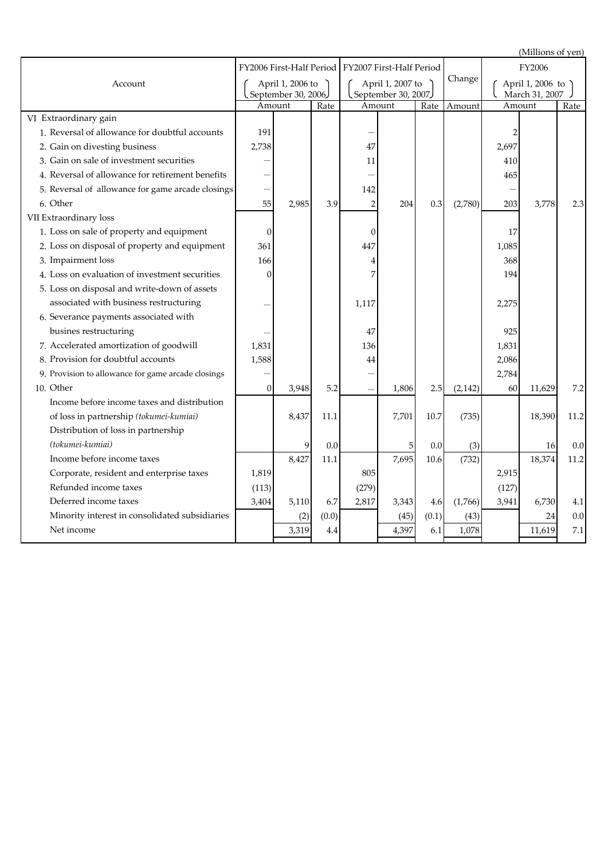(Millions of yen) Rate Amount Rate Amount Amount Rate September 30, 2007)<br>Amount Rate Account FY2007 First-Half Period April 1, 2007 to FY2006 First-Half Period April 1, 2006 to September 30, 2006 **Amount** Change March 31, 2007 April 1, 2006 to FY2006 VI Extraordinary gain 1. Reversal of allowance for doubtful accounts  $\begin{vmatrix} 191 & 1 \end{vmatrix}$   $\begin{vmatrix} 2 & 1 \end{vmatrix}$   $\begin{vmatrix} -1 & 1 \end{vmatrix}$   $\begin{vmatrix} 2 & 1 \end{vmatrix}$   $\begin{vmatrix} 2 & 1 \end{vmatrix}$   $\begin{vmatrix} 2 & 1 \end{vmatrix}$   $\begin{vmatrix} 2 & 1 \end{vmatrix}$   $\begin{vmatrix} 2 & 1 \end{vmatrix}$   $\begin{vmatrix} 2 & 1 \$ 2. Gain on divesting business  $\begin{array}{|c|c|c|c|c|c|c|c|c|c|c|} \hline \end{array}$  2,697  $\begin{array}{|c|c|c|c|c|c|c|c|} \hline \end{array}$  2,697 3. Gain on sale of investment securities  $1$   $1$   $1$   $1$   $1$   $1$ 4. Reversal of allowance for retirement benefits  $\begin{vmatrix} - & 1 & 1 \\ - & 1 & 1 \end{vmatrix}$  and the set of allowance for retirement benefits  $\begin{vmatrix} - & 1 & 1 \\ 1 & 1 & 1 \end{vmatrix}$  and the set of allowance for retirement benefits  $\begin{vmatrix} 1 & 1 \\$ 5. - 142 - Reversal of allowance for game arcade closings 6. 55 2,985 3.9 2 204 0.3 (2,780) 203 3,778 2.3 VII Extraordinary loss 1. 0 0 17 Loss on sale of property and equipment 2. Loss on disposal of property and equipment  $\begin{array}{|c|c|c|c|c|c|c|c|} \hline \end{array}$   $\begin{array}{|c|c|c|c|c|c|} \hline \end{array}$   $\begin{array}{|c|c|c|c|c|} \hline \end{array}$   $\begin{array}{|c|c|c|c|c|} \hline \end{array}$   $\begin{array}{|c|c|c|c|c|} \hline \end{array}$   $\begin{array}{|c|c|c|c|c|} \hline \end{array}$  3. 166 4 368 Impairment loss 4. 0 7 194 Loss on evaluation of investment securities 5. Loss on disposal and write-down of assets 6. Severance payments associated with 7. Accelerated amortization of goodwill  $\begin{array}{|c|c|c|c|c|c|c|c|c|} \hline \end{array}$  1,831 1,831 1,831 1,831 8. 1,588 44 2,086 Provision for doubtful accounts 9. Provision to allowance for game arcade closings  $\begin{vmatrix} - & 1 & 1 \\ 1 & -1 & 1 \end{vmatrix}$   $\begin{vmatrix} - & 1 & 1 \\ - & 1 & 1 \end{vmatrix}$  2,784 10. 0 3,948 5.2 - 1,806 2.5 (2,142) 60 11,629 7.2 8,427 11.1 7,695 10.6 (732) 18,374 11.2 1,819 805 2,915 (113) (279) (127) 3,404 5,110 6.7 2,817 3,343 4.6 (1,766) 3,941 6,730 4.1 (2)  $(0.0)$  (45)  $(0.1)$  (43)  $(43)$  24 0.0 3,319 4.4 4,397 6.1 1,078 11,619 7.1 11.2 18,390 10. Other Net income Corporate, resident and enterprise taxes Deferred income taxes Minority interest in consolidated subsidiaries Refunded income taxes Income before income taxes of loss in partnership *(tokumei-kumiai)* 5 0.0 (3) 16 0.0 47 925 1,117 (735) 2,275 - 0.0 7,701 10.7 Income before income taxes and distribution *(tokumei-kumiai)* Distribution of loss in partnership 6. Other 9 0.0 associated with business restructuring 8,437 11.1 busines restructuring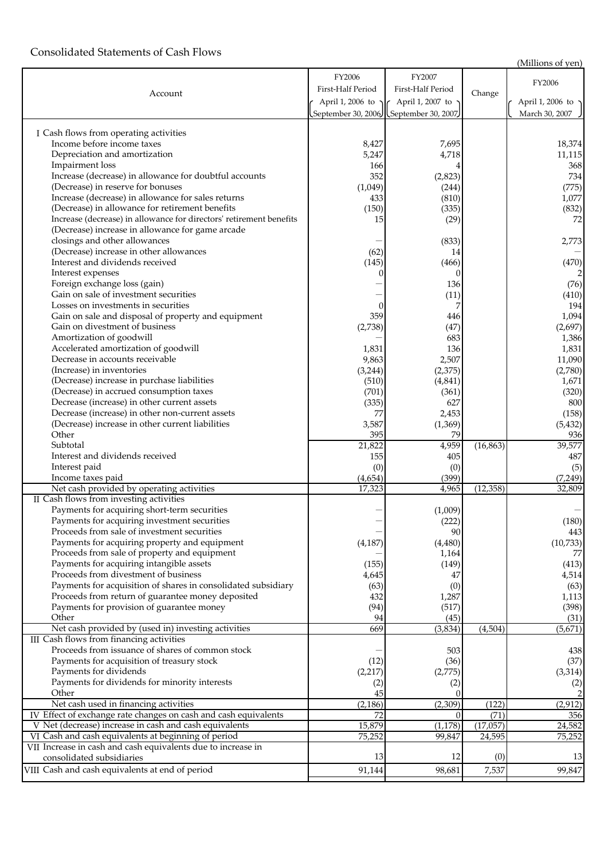### Consolidated Statements of Cash Flows

(Millions of yen)

|                                                                     |                             |                                       |           | <b>TATHIOTIS OF ACTI</b>  |
|---------------------------------------------------------------------|-----------------------------|---------------------------------------|-----------|---------------------------|
|                                                                     | FY2006                      | FY2007                                |           | FY2006                    |
| Account                                                             | First-Half Period           | First-Half Period                     | Change    |                           |
|                                                                     | April 1, 2006 to $\sqrt{6}$ | April 1, 2007 to $\sim$               |           | April 1, 2006 to $\gamma$ |
|                                                                     |                             | September 30, 2006 September 30, 2007 |           | March 30, 2007            |
|                                                                     |                             |                                       |           |                           |
| I Cash flows from operating activities                              |                             |                                       |           |                           |
| Income before income taxes                                          | 8,427                       | 7,695                                 |           | 18,374                    |
| Depreciation and amortization                                       | 5,247                       | 4,718                                 |           | 11,115                    |
| Impairment loss                                                     | 166                         |                                       |           | 368                       |
| Increase (decrease) in allowance for doubtful accounts              | 352                         | (2,823)                               |           | 734                       |
| (Decrease) in reserve for bonuses                                   | (1,049)                     | (244)                                 |           | (775)                     |
| Increase (decrease) in allowance for sales returns                  | 433                         | (810)                                 |           | 1,077                     |
| (Decrease) in allowance for retirement benefits                     | (150)                       | (335)                                 |           | (832)                     |
| Increase (decrease) in allowance for directors' retirement benefits | 15                          | (29)                                  |           | 72                        |
| (Decrease) increase in allowance for game arcade                    |                             |                                       |           |                           |
| closings and other allowances                                       |                             | (833)                                 |           |                           |
| (Decrease) increase in other allowances                             |                             | 14                                    |           | 2,773                     |
| Interest and dividends received                                     | (62)                        |                                       |           |                           |
| Interest expenses                                                   | (145)                       | (466)                                 |           | (470)                     |
|                                                                     | 0                           | $\Omega$                              |           | 2                         |
| Foreign exchange loss (gain)                                        |                             | 136                                   |           | (76)                      |
| Gain on sale of investment securities                               |                             | (11)                                  |           | (410)                     |
| Losses on investments in securities                                 |                             | 7                                     |           | 194                       |
| Gain on sale and disposal of property and equipment                 | 359                         | 446                                   |           | 1,094                     |
| Gain on divestment of business                                      | (2,738)                     | (47)                                  |           | (2,697)                   |
| Amortization of goodwill                                            |                             | 683                                   |           | 1,386                     |
| Accelerated amortization of goodwill                                | 1,831                       | 136                                   |           | 1,831                     |
| Decrease in accounts receivable                                     | 9,863                       | 2,507                                 |           | 11,090                    |
| (Increase) in inventories                                           | (3,244)                     | (2,375)                               |           | (2,780)                   |
| (Decrease) increase in purchase liabilities                         | (510)                       | (4, 841)                              |           | 1,671                     |
| (Decrease) in accrued consumption taxes                             | (701)                       | (361)                                 |           | (320)                     |
| Decrease (increase) in other current assets                         | (335)                       | 627                                   |           | 800                       |
| Decrease (increase) in other non-current assets                     | 77                          | 2,453                                 |           | (158)                     |
| (Decrease) increase in other current liabilities                    | 3,587                       | (1,369)                               |           | (5, 432)                  |
| Other                                                               | 395                         | 79                                    |           | 936                       |
| Subtotal                                                            | 21,822                      | 4,959                                 | (16, 863) | 39,577                    |
| Interest and dividends received                                     | 155                         | 405                                   |           | 487                       |
| Interest paid                                                       | (0)                         | (0)                                   |           | (5)                       |
| Income taxes paid                                                   | (4,654)                     | (399)                                 |           | (7,249)                   |
| Net cash provided by operating activities                           | 17,323                      | 4,965                                 | (12, 358) | 32,809                    |
| II Cash flows from investing activities                             |                             |                                       |           |                           |
| Payments for acquiring short-term securities                        |                             | (1,009)                               |           |                           |
| Payments for acquiring investment securities                        |                             | (222)                                 |           | (180)                     |
| Proceeds from sale of investment securities                         |                             | 90                                    |           | 443                       |
| Payments for acquiring property and equipment                       | (4,187)                     | (4, 480)                              |           | (10,733)                  |
| Proceeds from sale of property and equipment                        |                             | 1,164                                 |           | 77                        |
| Payments for acquiring intangible assets                            | (155)                       | (149)                                 |           | (413)                     |
| Proceeds from divestment of business                                | 4,645                       | 47                                    |           | 4,514                     |
| Payments for acquisition of shares in consolidated subsidiary       | (63)                        | (0)                                   |           | (63)                      |
| Proceeds from return of guarantee money deposited                   | 432                         | 1,287                                 |           | 1,113                     |
| Payments for provision of guarantee money                           | (94)                        | (517)                                 |           | (398)                     |
| Other                                                               | 94                          | (45)                                  |           | (31)                      |
| Net cash provided by (used in) investing activities                 | 669                         | (3,834)                               | (4,504)   | (5,671)                   |
| III Cash flows from financing activities                            |                             |                                       |           |                           |
| Proceeds from issuance of shares of common stock                    |                             | 503                                   |           | 438                       |
| Payments for acquisition of treasury stock                          | (12)                        | (36)                                  |           | (37)                      |
| Payments for dividends                                              | (2,217)                     | (2,775)                               |           | (3, 314)                  |
| Payments for dividends for minority interests                       | (2)                         | (2)                                   |           | (2)                       |
| Other                                                               | 45                          |                                       |           | 2                         |
| Net cash used in financing activities                               | (2, 186)                    | (2,309)                               | (122)     | (2, 912)                  |
| IV Effect of exchange rate changes on cash and cash equivalents     | 72                          | 0                                     | (71)      | 356                       |
| V Net (decrease) increase in cash and cash equivalents              | 15,879                      | (1, 178)                              | (17,057)  | 24,582                    |
| VI Cash and cash equivalents at beginning of period                 | 75,252                      | 99,847                                | 24,595    | 75,252                    |
| VII Increase in cash and cash equivalents due to increase in        |                             |                                       |           |                           |
| consolidated subsidiaries                                           | 13                          | 12                                    | (0)       | 13                        |
|                                                                     |                             |                                       |           |                           |
| VIII Cash and cash equivalents at end of period                     | 91,144                      | 98,681                                | 7,537     | 99,847                    |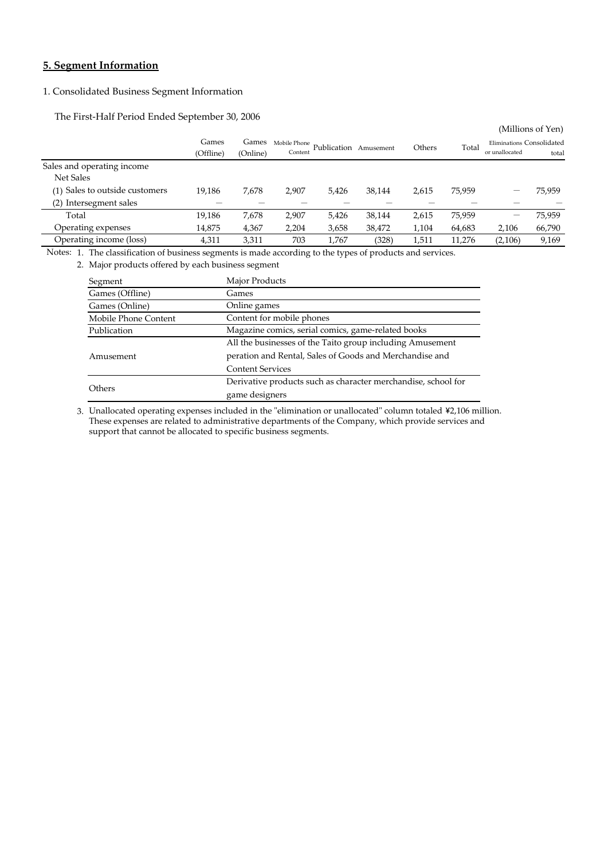### **5. Segment Information**

### 1. Consolidated Business Segment Information

The First-Half Period Ended September 30, 2006

| Eliminations Consolidated |
|---------------------------|
| total                     |
|                           |
|                           |
| 75,959                    |
|                           |
| 75,959                    |
| 66,790                    |
| 9,169                     |
|                           |

Notes: 1. The classification of business segments is made according to the types of products and services.

2. Major products offered by each business segment

| Segment              | Major Products                                                |  |  |  |  |
|----------------------|---------------------------------------------------------------|--|--|--|--|
| Games (Offline)      | Games                                                         |  |  |  |  |
| Games (Online)       | Online games                                                  |  |  |  |  |
| Mobile Phone Content | Content for mobile phones                                     |  |  |  |  |
| Publication          | Magazine comics, serial comics, game-related books            |  |  |  |  |
|                      | All the businesses of the Taito group including Amusement     |  |  |  |  |
| Amusement            | peration and Rental, Sales of Goods and Merchandise and       |  |  |  |  |
|                      | <b>Content Services</b>                                       |  |  |  |  |
|                      | Derivative products such as character merchandise, school for |  |  |  |  |
| <b>Others</b>        | game designers                                                |  |  |  |  |

3. Unallocated operating expenses included in the "elimination or unallocated" column totaled \2,106 million. support that cannot be allocated to specific business segments. These expenses are related to administrative departments of the Company, which provide services and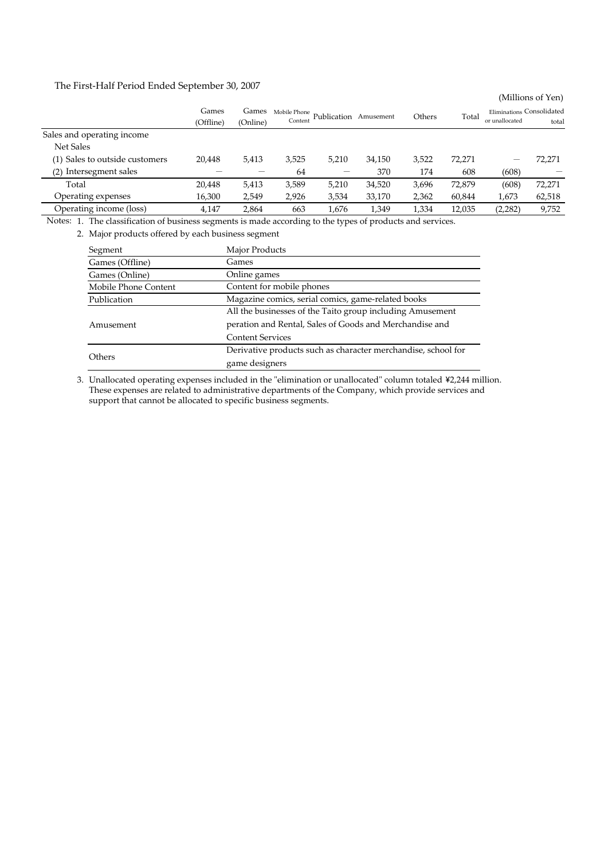The First-Half Period Ended September 30, 2007

|                                |                    |                   |                         |             |           |        |        |                                             | (Millions of Yen) |
|--------------------------------|--------------------|-------------------|-------------------------|-------------|-----------|--------|--------|---------------------------------------------|-------------------|
|                                | Games<br>(Offline) | Games<br>(Online) | Mobile Phone<br>Content | Publication | Amusement | Others | Total  | Eliminations Consolidated<br>or unallocated | total             |
| Sales and operating income     |                    |                   |                         |             |           |        |        |                                             |                   |
| Net Sales                      |                    |                   |                         |             |           |        |        |                                             |                   |
| (1) Sales to outside customers | 20,448             | 5,413             | 3,525                   | 5,210       | 34,150    | 3,522  | 72,271 |                                             | 72,271            |
| Intersegment sales<br>(2)      |                    |                   | 64                      |             | 370       | 174    | 608    | (608)                                       |                   |
| Total                          | 20,448             | 5,413             | 3,589                   | 5,210       | 34,520    | 3,696  | 72,879 | (608)                                       | 72,271            |
| Operating expenses             | 16,300             | 2,549             | 2,926                   | 3,534       | 33,170    | 2,362  | 60,844 | 1,673                                       | 62,518            |
| Operating income (loss)        | 4,147              | 2.864             | 663                     | 1,676       | 1,349     | 1,334  | 12,035 | (2,282)                                     | 9,752             |

Notes: 1. The classification of business segments is made according to the types of products and services.

2. Major products offered by each business segment

| Segment              | Major Products                                                |  |  |  |  |
|----------------------|---------------------------------------------------------------|--|--|--|--|
| Games (Offline)      | Games                                                         |  |  |  |  |
| Games (Online)       | Online games                                                  |  |  |  |  |
| Mobile Phone Content | Content for mobile phones                                     |  |  |  |  |
| Publication          | Magazine comics, serial comics, game-related books            |  |  |  |  |
|                      | All the businesses of the Taito group including Amusement     |  |  |  |  |
| Amusement            | peration and Rental, Sales of Goods and Merchandise and       |  |  |  |  |
|                      | <b>Content Services</b>                                       |  |  |  |  |
|                      | Derivative products such as character merchandise, school for |  |  |  |  |
| Others               | game designers                                                |  |  |  |  |

3. Unallocated operating expenses included in the "elimination or unallocated" column totaled \2,244 million.These expenses are related to administrative departments of the Company, which provide services and support that cannot be allocated to specific business segments.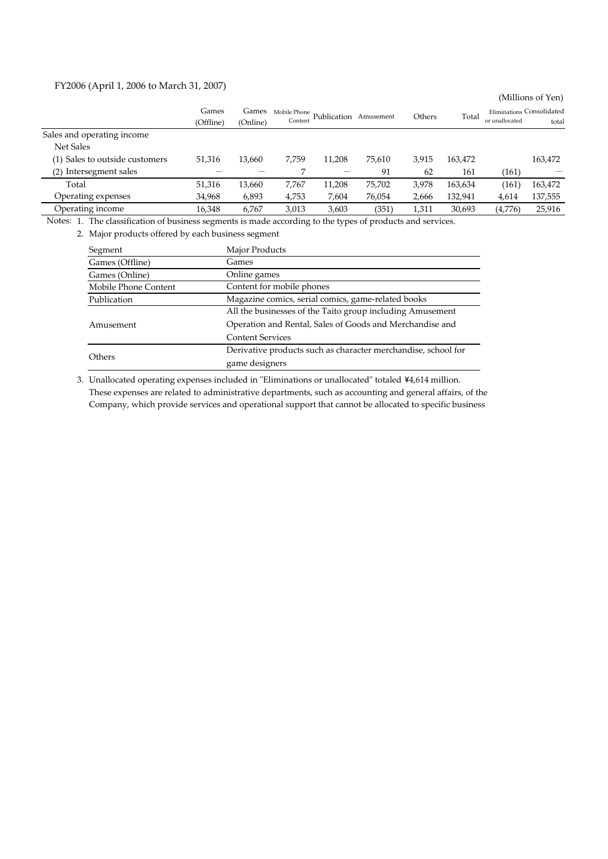### FY2006 (April 1, 2006 to March 31, 2007)

|                                |                    |                   |                         |             |           |        |         |                | (Millions of Yen)                  |
|--------------------------------|--------------------|-------------------|-------------------------|-------------|-----------|--------|---------|----------------|------------------------------------|
|                                | Games<br>(Offline) | Games<br>(Online) | Mobile Phone<br>Content | Publication | Amusement | Others | Total   | or unallocated | Eliminations Consolidated<br>total |
| Sales and operating income     |                    |                   |                         |             |           |        |         |                |                                    |
| <b>Net Sales</b>               |                    |                   |                         |             |           |        |         |                |                                    |
| (1) Sales to outside customers | 51,316             | 13,660            | 7,759                   | 11,208      | 75,610    | 3,915  | 163,472 |                | 163,472                            |
| Intersegment sales<br>(2)      |                    |                   |                         |             | 91        | 62     | 161     | (161)          |                                    |
| Total                          | 51,316             | 13,660            | 7,767                   | 11,208      | 75,702    | 3,978  | 163,634 | 161            | 163,472                            |
| Operating expenses             | 34,968             | 6,893             | 4,753                   | 7,604       | 76,054    | 2,666  | 132,941 | 4,614          | 137,555                            |
| Operating income               | 16,348             | 6.767             | 3,013                   | 3,603       | (351)     | 1,311  | 30,693  | (4,776)        | 25,916                             |

Notes: 1. The classification of business segments is made according to the types of products and services.

2. Major products offered by each business segment

| Segment              | Major Products                                                |
|----------------------|---------------------------------------------------------------|
| Games (Offline)      | Games                                                         |
| Games (Online)       | Online games                                                  |
| Mobile Phone Content | Content for mobile phones                                     |
| Publication          | Magazine comics, serial comics, game-related books            |
|                      | All the businesses of the Taito group including Amusement     |
| Amusement            | Operation and Rental, Sales of Goods and Merchandise and      |
|                      | <b>Content Services</b>                                       |
|                      | Derivative products such as character merchandise, school for |
| Others               | game designers                                                |

3. Unallocated operating expenses included in "Eliminations or unallocated" totaled ¥4,614 million. These expenses are related to administrative departments, such as accounting and general affairs, of the Company, which provide services and operational support that cannot be allocated to specific business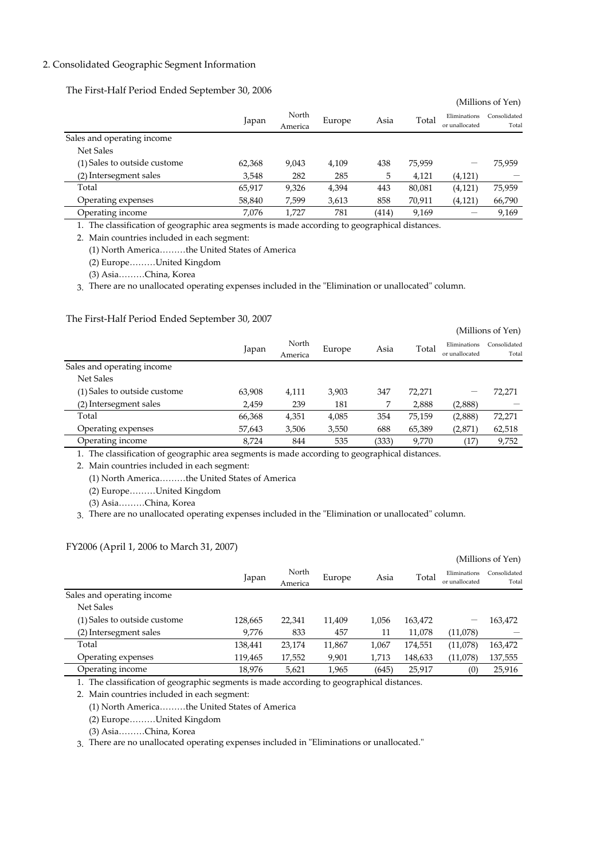### 2. Consolidated Geographic Segment Information

The First-Half Period Ended September 30, 2006

|                              |        |                  |        |       |        |                                | (Millions of Yen)     |
|------------------------------|--------|------------------|--------|-------|--------|--------------------------------|-----------------------|
|                              | Japan  | North<br>America | Europe | Asia  | Total  | Eliminations<br>or unallocated | Consolidated<br>Total |
| Sales and operating income   |        |                  |        |       |        |                                |                       |
| <b>Net Sales</b>             |        |                  |        |       |        |                                |                       |
| (1) Sales to outside custome | 62,368 | 9,043            | 4,109  | 438   | 75,959 | -                              | 75,959                |
| (2) Intersegment sales       | 3,548  | 282              | 285    | 5     | 4,121  | (4, 121)                       |                       |
| Total                        | 65,917 | 9,326            | 4,394  | 443   | 80,081 | (4, 121)                       | 75,959                |
| Operating expenses           | 58,840 | 7,599            | 3,613  | 858   | 70,911 | (4, 121)                       | 66,790                |
| Operating income             | 7,076  | 1.727            | 781    | (414) | 9,169  |                                | 9,169                 |

1. The classification of geographic area segments is made according to geographical distances.

2. Main countries included in each segment:

(1) North America………the United States of America

(2) Europe………United Kingdom

(3) Asia………China, Korea

3. There are no unallocated operating expenses included in the "Elimination or unallocated" column.

### The First-Half Period Ended September 30, 2007

|                              |        |                  |        |       |        |                                | (Millions of Yen)     |
|------------------------------|--------|------------------|--------|-------|--------|--------------------------------|-----------------------|
|                              | Japan  | North<br>America | Europe | Asia  | Total  | Eliminations<br>or unallocated | Consolidated<br>Total |
| Sales and operating income   |        |                  |        |       |        |                                |                       |
| <b>Net Sales</b>             |        |                  |        |       |        |                                |                       |
| (1) Sales to outside custome | 63,908 | 4,111            | 3,903  | 347   | 72,271 | –                              | 72,271                |
| (2) Intersegment sales       | 2,459  | 239              | 181    |       | 2,888  | (2,888)                        |                       |
| Total                        | 66,368 | 4,351            | 4,085  | 354   | 75,159 | (2,888)                        | 72,271                |
| Operating expenses           | 57,643 | 3,506            | 3,550  | 688   | 65,389 | (2,871)                        | 62,518                |
| Operating income             | 8,724  | 844              | 535    | (333) | 9,770  | (17                            | 9,752                 |

1. The classification of geographic area segments is made according to geographical distances.

2. Main countries included in each segment:

(1) North America………the United States of America

(2) Europe………United Kingdom

(3) Asia………China, Korea

3. There are no unallocated operating expenses included in the "Elimination or unallocated" column.

### FY2006 (April 1, 2006 to March 31, 2007)

|                              |         |         |        |       |         |                                | (Millions of Yen)     |
|------------------------------|---------|---------|--------|-------|---------|--------------------------------|-----------------------|
|                              | Japan   | North   | Europe | Asia  | Total   | Eliminations<br>or unallocated | Consolidated<br>Total |
|                              |         | America |        |       |         |                                |                       |
| Sales and operating income   |         |         |        |       |         |                                |                       |
| Net Sales                    |         |         |        |       |         |                                |                       |
| (1) Sales to outside custome | 128,665 | 22,341  | 11,409 | 1,056 | 163,472 | -                              | 163,472               |
| (2) Intersegment sales       | 9,776   | 833     | 457    | 11    | 11,078  | (11,078)                       |                       |
| Total                        | 138,441 | 23,174  | 11,867 | 1,067 | 174,551 | (11,078)                       | 163,472               |
| Operating expenses           | 119,465 | 17,552  | 9,901  | 1,713 | 148,633 | (11,078)                       | 137,555               |
| Operating income             | 18,976  | 5,621   | 1,965  | (645) | 25,917  | (0)                            | 25,916                |

1. The classification of geographic segments is made according to geographical distances.

2. Main countries included in each segment:

(1) North America………the United States of America

(2) Europe………United Kingdom

(3) Asia………China, Korea

3. There are no unallocated operating expenses included in "Eliminations or unallocated."